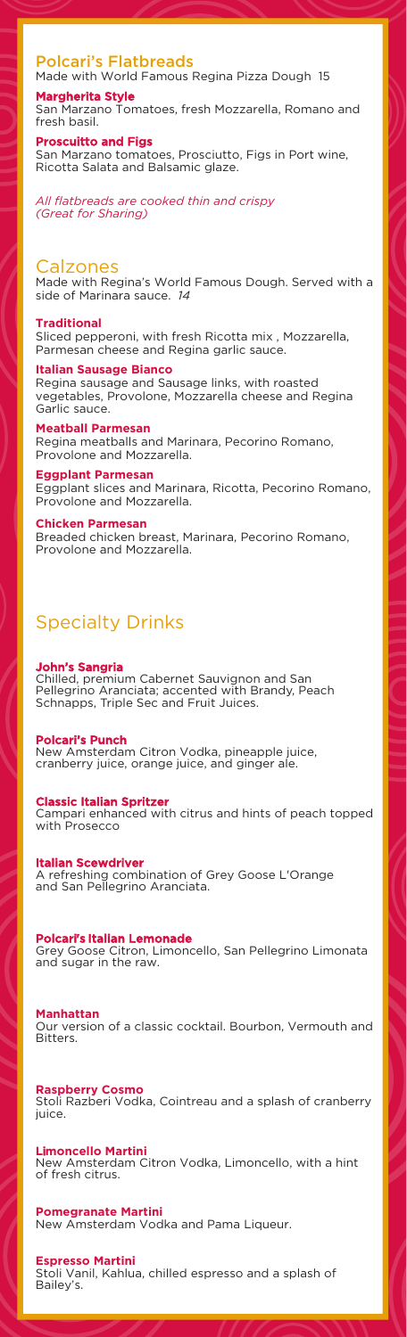# Polcari's Flatbreads

Made with World Famous Regina Pizza Dough 15 Margherita Style

San Marzano Tomatoes, fresh Mozzarella, Romano and fresh basil.

Proscuitto and Figs

San Marzano tomatoes, Prosciutto, Figs in Port wine, Ricotta Salata and Balsamic glaze.

*All flatbreads are cooked thin and crispy (Great for Sharing)*

## Calzones

Made with Regina's World Famous Dough. Served with a side of Marinara sauce. *14*

#### **Traditional**

Sliced pepperoni, with fresh Ricotta mix , Mozzarella, Parmesan cheese and Regina garlic sauce.

**Italian Sausage Bianco** Regina sausage and Sausage links, with roasted vegetables, Provolone, Mozzarella cheese and Regina Garlic sauce.

**Meatball Parmesan** Regina meatballs and Marinara, Pecorino Romano, Provolone and Mozzarella.

#### **Eggplant Parmesan**

Eggplant slices and Marinara, Ricotta, Pecorino Romano, Provolone and Mozzarella.

#### **Chicken Parmesan**

Breaded chicken breast, Marinara, Pecorino Romano, Provolone and Mozzarella.

# Specialty Drinks

## John's Sangria

Chilled, premium Cabernet Sauvignon and San Pellegrino Aranciata; accented with Brandy, Peach Schnapps, Triple Sec and Fruit Juices.

## Polcari's Punch

New Amsterdam Citron Vodka, pineapple juice, cranberry juice, orange juice, and ginger ale.

## Classic Italian Spritzer

Campari enhanced with citrus and hints of peach topped with Prosecco

Italian Scewdriver A refreshing combination of Grey Goose L'Orange and San Pellegrino Aranciata.

## Polcari's Italian Lemonade

Grey Goose Citron, Limoncello, San Pellegrino Limonata and sugar in the raw.

**Manhattan**

Our version of a classic cocktail. Bourbon, Vermouth and Bitters.

**Raspberry Cosmo** Stoli Razberi Vodka, Cointreau and a splash of cranberry juice.

**L**i**moncello Martini** New Amsterdam Citron Vodka, Limoncello, with a hint of fresh citrus.

**Pomegranate Martini** New Amsterdam Vodka and Pama Liqueur.

## **Espresso Martini**

Stoli Vanil, Kahlua, chilled espresso and a splash of Bailey's.